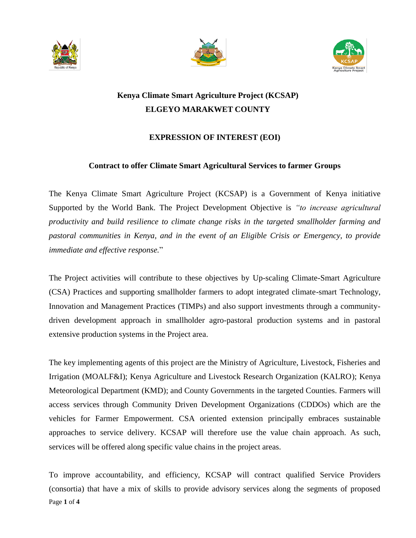





## **Kenya Climate Smart Agriculture Project (KCSAP) ELGEYO MARAKWET COUNTY**

## **EXPRESSION OF INTEREST (EOI)**

## **Contract to offer Climate Smart Agricultural Services to farmer Groups**

The Kenya Climate Smart Agriculture Project (KCSAP) is a Government of Kenya initiative Supported by the World Bank. The Project Development Objective is *"to increase agricultural productivity and build resilience to climate change risks in the targeted smallholder farming and pastoral communities in Kenya, and in the event of an Eligible Crisis or Emergency, to provide immediate and effective response.*"

The Project activities will contribute to these objectives by Up-scaling Climate-Smart Agriculture (CSA) Practices and supporting smallholder farmers to adopt integrated climate-smart Technology, Innovation and Management Practices (TIMPs) and also support investments through a communitydriven development approach in smallholder agro-pastoral production systems and in pastoral extensive production systems in the Project area.

The key implementing agents of this project are the Ministry of Agriculture, Livestock, Fisheries and Irrigation (MOALF&I); Kenya Agriculture and Livestock Research Organization (KALRO); Kenya Meteorological Department (KMD); and County Governments in the targeted Counties. Farmers will access services through Community Driven Development Organizations (CDDOs) which are the vehicles for Farmer Empowerment. CSA oriented extension principally embraces sustainable approaches to service delivery. KCSAP will therefore use the value chain approach. As such, services will be offered along specific value chains in the project areas.

Page **1** of **4** To improve accountability, and efficiency, KCSAP will contract qualified Service Providers (consortia) that have a mix of skills to provide advisory services along the segments of proposed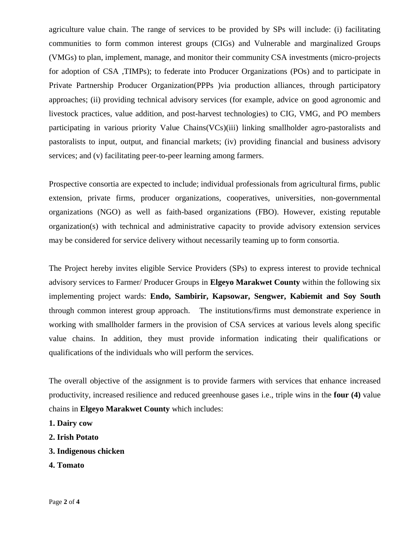agriculture value chain. The range of services to be provided by SPs will include: (i) facilitating communities to form common interest groups (CIGs) and Vulnerable and marginalized Groups (VMGs) to plan, implement, manage, and monitor their community CSA investments (micro-projects for adoption of CSA ,TIMPs); to federate into Producer Organizations (POs) and to participate in Private Partnership Producer Organization(PPPs )via production alliances, through participatory approaches; (ii) providing technical advisory services (for example, advice on good agronomic and livestock practices, value addition, and post-harvest technologies) to CIG, VMG, and PO members participating in various priority Value Chains(VCs)(iii) linking smallholder agro-pastoralists and pastoralists to input, output, and financial markets; (iv) providing financial and business advisory services; and (v) facilitating peer-to-peer learning among farmers.

Prospective consortia are expected to include; individual professionals from agricultural firms, public extension, private firms, producer organizations, cooperatives, universities, non-governmental organizations (NGO) as well as faith-based organizations (FBO). However, existing reputable organization(s) with technical and administrative capacity to provide advisory extension services may be considered for service delivery without necessarily teaming up to form consortia.

The Project hereby invites eligible Service Providers (SPs) to express interest to provide technical advisory services to Farmer/ Producer Groups in **Elgeyo Marakwet County** within the following six implementing project wards: **Endo, Sambirir, Kapsowar, Sengwer, Kabiemit and Soy South** through common interest group approach. The institutions/firms must demonstrate experience in working with smallholder farmers in the provision of CSA services at various levels along specific value chains. In addition, they must provide information indicating their qualifications or qualifications of the individuals who will perform the services.

The overall objective of the assignment is to provide farmers with services that enhance increased productivity, increased resilience and reduced greenhouse gases i.e., triple wins in the **four (4)** value chains in **Elgeyo Marakwet County** which includes:

- **1. Dairy cow**
- **2. Irish Potato**
- **3. Indigenous chicken**
- **4. Tomato**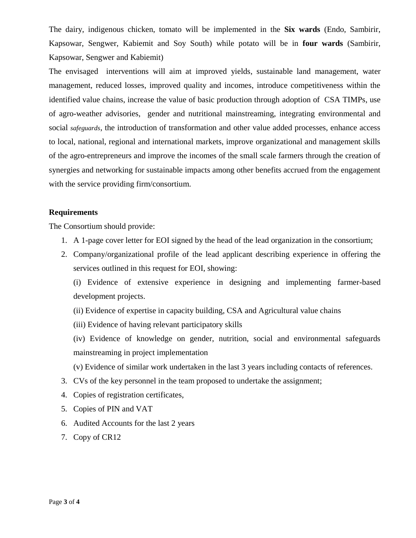The dairy, indigenous chicken, tomato will be implemented in the **Six wards** (Endo, Sambirir, Kapsowar, Sengwer, Kabiemit and Soy South) while potato will be in **four wards** (Sambirir, Kapsowar, Sengwer and Kabiemit)

The envisaged interventions will aim at improved yields, sustainable land management, water management, reduced losses, improved quality and incomes, introduce competitiveness within the identified value chains, increase the value of basic production through adoption of CSA TIMPs, use of agro-weather advisories, gender and nutritional mainstreaming, integrating environmental and social *safeguards*, the introduction of transformation and other value added processes, enhance access to local, national, regional and international markets, improve organizational and management skills of the agro-entrepreneurs and improve the incomes of the small scale farmers through the creation of synergies and networking for sustainable impacts among other benefits accrued from the engagement with the service providing firm/consortium.

## **Requirements**

The Consortium should provide:

- 1. A 1-page cover letter for EOI signed by the head of the lead organization in the consortium;
- 2. Company/organizational profile of the lead applicant describing experience in offering the services outlined in this request for EOI, showing:

(i) Evidence of extensive experience in designing and implementing farmer-based development projects.

- (ii) Evidence of expertise in capacity building, CSA and Agricultural value chains
- (iii) Evidence of having relevant participatory skills

(iv) Evidence of knowledge on gender, nutrition, social and environmental safeguards mainstreaming in project implementation

- (v) Evidence of similar work undertaken in the last 3 years including contacts of references.
- 3. CVs of the key personnel in the team proposed to undertake the assignment;
- 4. Copies of registration certificates,
- 5. Copies of PIN and VAT
- 6. Audited Accounts for the last 2 years
- 7. Copy of CR12